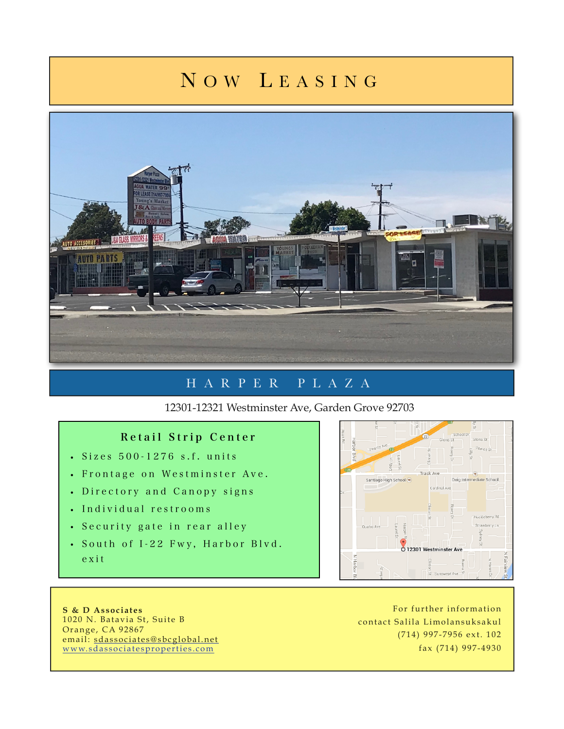## N O W L EASING



## HARPER PLAZA

12301-12321 Westminster Ave, Garden Grove 92703

## Retail Strip Center

- Sizes 500 -1276 s.f. units
- Frontage on Westminster Ave.
- Directory and Canopy signs
- Individual restrooms
- Security gate in rear alley
- South of I-22 Fwy, Harbor Blvd. exit



**S & D Associates**  1020 N. Batavia St, Suite B Orange, CA 92867 email: [sdassociates@sbcglobal.net](mailto:sdassociates@sbcglobal.net) [www.sdassociatesproperties.com](http://www.sdassociatesproperties.com)

For further information contact Salila Limolansuksakul (714) 997-7956 ext. 102 fax (714) 997-4930